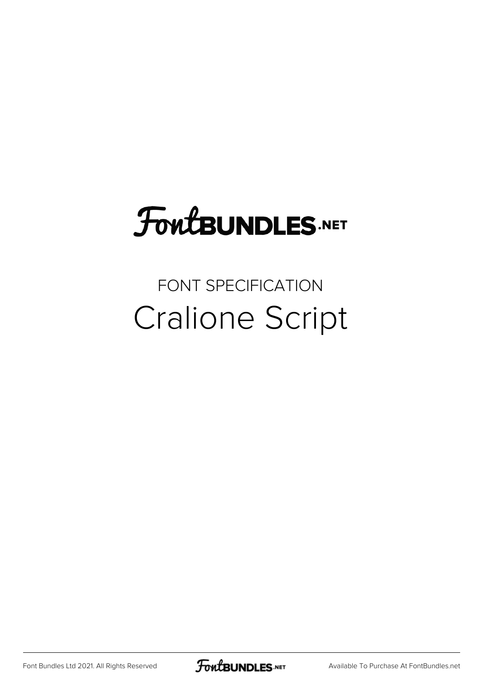## FoutBUNDLES.NET

## FONT SPECIFICATION Cralione Script

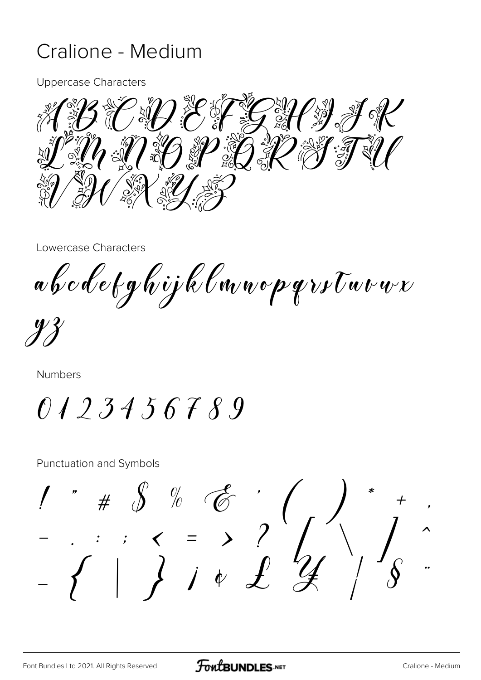## Cralione - Medium

**Uppercase Characters** 



Lowercase Characters

a b c d e t g h i j k l n n o p q r s t n v n r

Numbers

0123456789

**Punctuation and Symbols**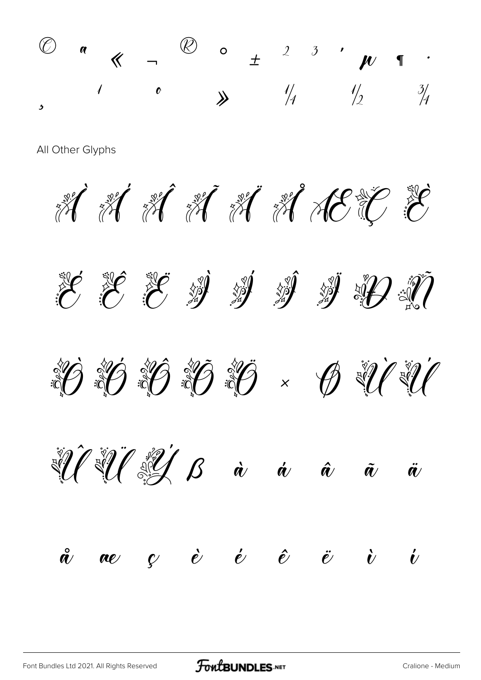

All Other Glyphs

H H H H H H H H E





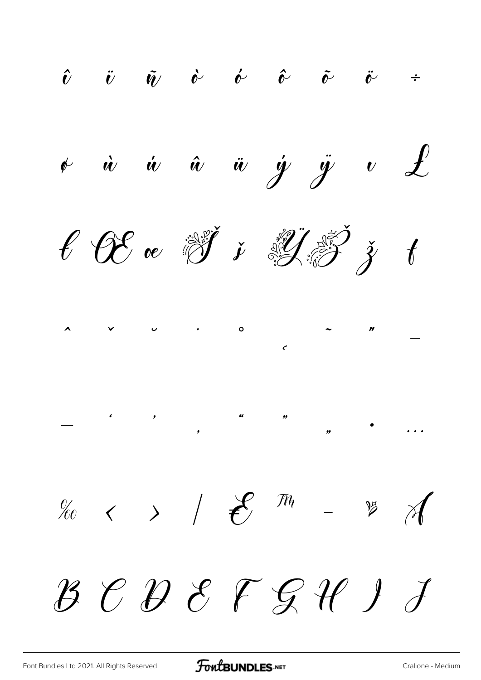$\hat{v}$   $\ddot{v}$   $\tilde{w}$   $\dot{\phi}$   $\acute{\phi}$   $\hat{\phi}$   $\tilde{\phi}$   $\ddot{\phi}$   $\div$  $\begin{array}{ccccccccc} & \dot{\alpha} & \dot{\alpha} & \dot{\alpha} & \dot{\alpha} & \dot{\gamma} & \ddot{y} & \dot{\alpha} & \dot{\mathcal{L}} \end{array}$  $\ell$  OC or  $\mathbb{F}$  if  $\ell$  if  $\mathbb{F}$  if  $\mathbb{F}$  $\lambda$   $\vee$   $\cup$  $\circ$  $\%$  < > /  $\mathcal{E}$  m -  $\%$  A  $\mathcal{B}\,\,\mathcal{C}\,\,\mathcal{D}\,\,\mathcal{E}\,\,\mathcal{F}\,\,\mathcal{G}\,\,\mathcal{H}\,\,\mathit{J}\ \, \mathit{J}$ 

FontBUNDLES.NET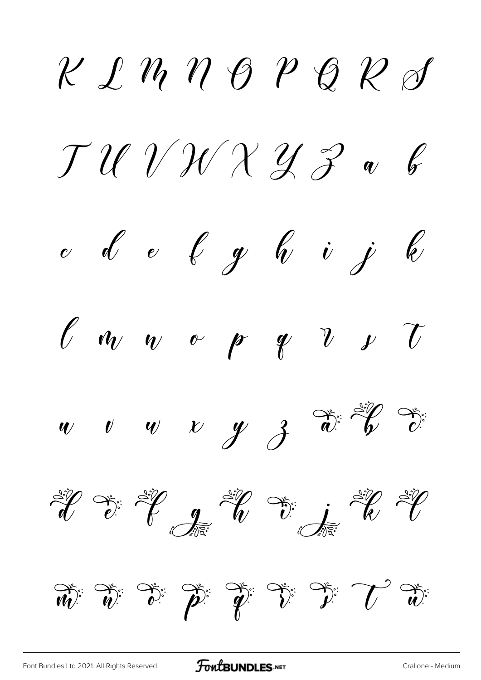$\chi$   $\ell$   $\eta$   $\eta$   $\theta$   $\ell$   $\theta$   $\ell$   $\phi$  $JUVVXZZV$  $\begin{array}{cccccccccc} c&d&e&f&g&f&i&j&k \end{array}$  $\ell$   $\omega$   $\sim$   $\ell$   $\ell$   $\ell$   $\ell$  $w$   $v$   $w$   $v$   $y$   $3$   $\overset{\rightsquigarrow}{v}$   $\overset{\rightsquigarrow}{v}$ Silver Silver Silver Silver Silver  $\overrightarrow{w}=\overrightarrow{v}=\overrightarrow{v}=\overrightarrow{v}=\overrightarrow{v}=\overrightarrow{v}=\overrightarrow{v}=\overrightarrow{v}=\overrightarrow{v}=\overrightarrow{w}=\overrightarrow{w}=\overrightarrow{w}=\overrightarrow{w}=\overrightarrow{w}=\overrightarrow{w}=\overrightarrow{w}=\overrightarrow{w}=\overrightarrow{w}=\overrightarrow{w}=\overrightarrow{w}=\overrightarrow{w}=\overrightarrow{w}=\overrightarrow{w}=\overrightarrow{w}=\overrightarrow{w}=\overrightarrow{w}=\overrightarrow{w}=\overrightarrow{w}=\overrightarrow{w}=\overrightarrow{w}=\overrightarrow{w}=\overrightarrow{w}=\overrightarrow{w}=\overrightarrow{w}=\overrightarrow{w}=\overrightarrow{w}=\overrightarrow{$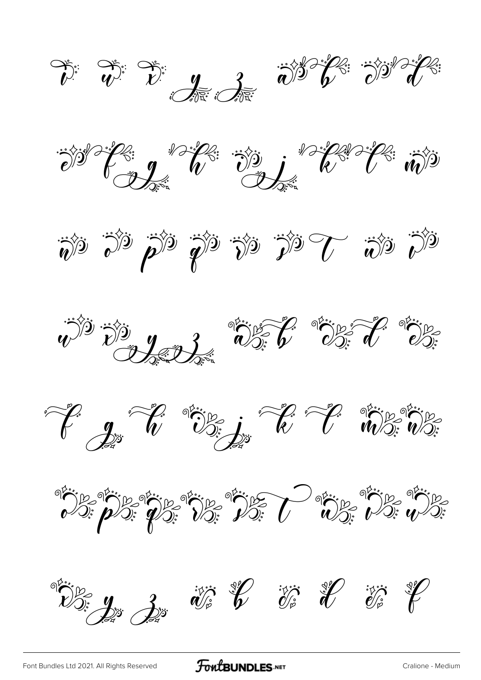$\sum_{i=1}^{n} \sum_{j=1}^{n} \sum_{j=1}^{n} \sum_{j=1}^{n} \sum_{j=1}^{n} \sum_{j=1}^{n} \sum_{j=1}^{n} \sum_{j=1}^{n} \sum_{j=1}^{n} \sum_{j=1}^{n} \sum_{j=1}^{n} \sum_{j=1}^{n} \sum_{j=1}^{n} \sum_{j=1}^{n} \sum_{j=1}^{n} \sum_{j=1}^{n} \sum_{j=1}^{n} \sum_{j=1}^{n} \sum_{j=1}^{n} \sum_{j=1}^{n} \sum_{j=1}^{n} \sum_{j=1}^{n}$ 













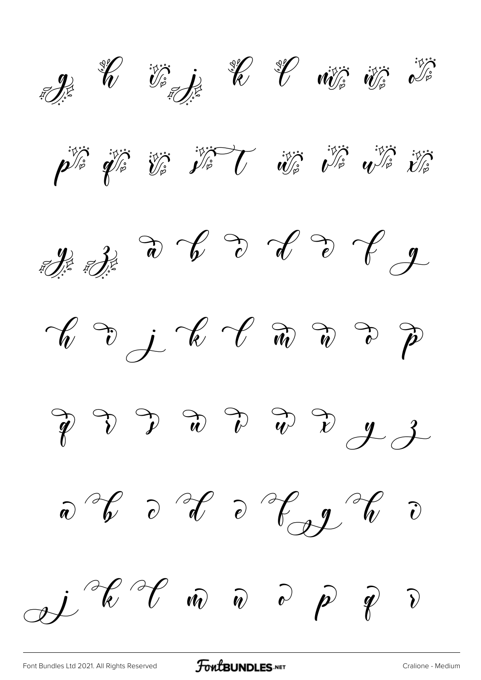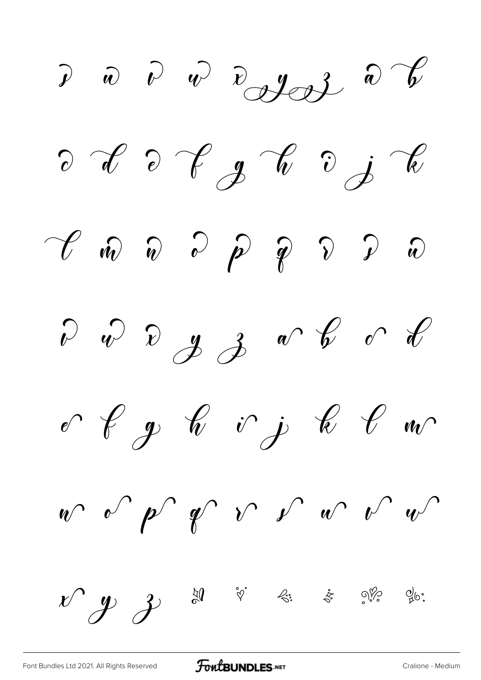$\begin{array}{ccc} \mathcal{P} & \hat{w} & \hat{w} & \hat{w} & \hat{w} & \hat{w} & \hat{w} \end{array}$  $\partial$   $\partial$   $\partial$   $\partial$   $g$   $\partial$   $\partial$   $\partial$  $\begin{array}{ccc} \mathscr{C} & \widehat{w} & \widehat{w} & \widehat{w} & \widehat{p} & \widehat{p} & \widehat{y} & \widehat{w} \end{array}$  $\begin{array}{ccccccccc} & & & & \ & \mathbf{v} & & \mathbf{v} & & \mathbf{y} & \mathbf{z} & \mathbf{w} & \mathbf{v} & \mathbf{v} & \mathbf{v} & \mathbf{v} & \mathbf{v} & \mathbf{v} & \mathbf{v} & \mathbf{v} & \mathbf{v} & \mathbf{v} & \mathbf{v} & \mathbf{v} & \mathbf{v} & \mathbf{v} & \mathbf{v} & \mathbf{v} & \mathbf{v} & \mathbf{v} & \mathbf{v} & \mathbf{v} & \mathbf{v} & \mathbf{v} & \mathbf{v} & \mathbf{v} &$  $\begin{array}{ccccc} & & \text{if} & \text{if} & \text{if} & \text{if} & \text{if} & \text{if} & \text{if} & \text{if} & \text{if} & \text{if} & \text{if} & \text{if} & \text{if} & \text{if} & \text{if} & \text{if} & \text{if} & \text{if} & \text{if} & \text{if} & \text{if} & \text{if} & \text{if} & \text{if} & \text{if} & \text{if} & \text{if} & \text{if} & \text{if} & \text{if} & \text{if} & \text{if} & \text{if} & \text{if} & \text{if} &$  $w^{2}$  or  $p^{2}$  of  $v^{2}$  or  $v^{2}$  or  $v^{2}$  $x^{\prime}$   $y$   $z$   $z$   $z$   $z$   $z$